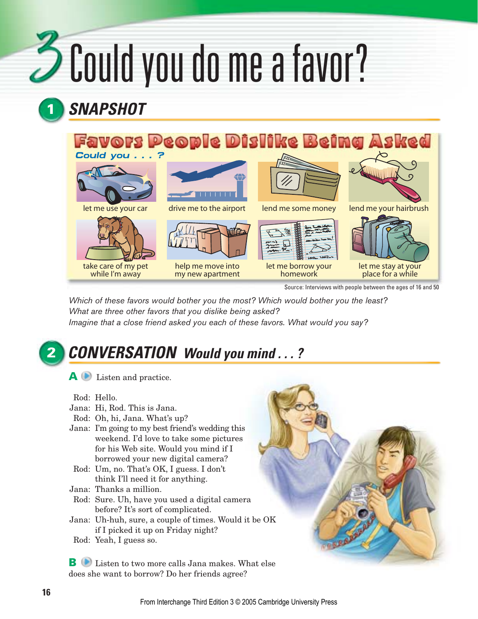# Could you do me a favor?



Source: Interviews with people between the ages of 16 and 50

*Which of these favors would bother you the most? Which would bother you the least? What are three other favors that you dislike being asked? Imagine that a close friend asked you each of these favors. What would you say?*

## **2** *CONVERSATION Would you mind . . . ?*

**A** Listen and practice.

**1** *SNAPSHOT*

- Rod: Hello.
- Jana: Hi, Rod. This is Jana.
- Rod: Oh, hi, Jana. What's up?
- Jana: I'm going to my best friend's wedding this weekend. I'd love to take some pictures for his Web site. Would you mind if I borrowed your new digital camera?
- Rod: Um, no. That's OK, I guess. I don't think I'll need it for anything.
- Jana: Thanks a million.
- Rod: Sure. Uh, have you used a digital camera before? It's sort of complicated.
- Jana: Uh-huh, sure, a couple of times. Would it be OK if I picked it up on Friday night?
- Rod: Yeah, I guess so.

**B**  $\bullet$  Listen to two more calls Jana makes. What else does she want to borrow? Do her friends agree?

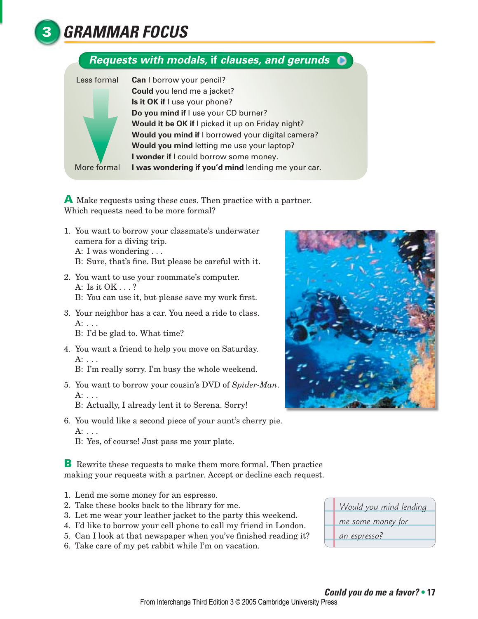## **3** *GRAMMAR FOCUS*

### *Requests with modals,* **if** *clauses, and gerunds*



Less formal **Can** I borrow your pencil? **Could** you lend me a jacket? **Is it OK if** I use your phone? **Do you mind if** I use your CD burner? **Would it be OK if** I picked it up on Friday night? **Would you mind if** I borrowed your digital camera? **Would you mind** letting me use your laptop? **I wonder if** I could borrow some money. More formal **I was wondering if you'd mind** lending me your car.

**A** Make requests using these cues. Then practice with a partner. Which requests need to be more formal?

- 1. You want to borrow your classmate's underwater camera for a diving trip. A: I was wondering . . .
	- B: Sure, that's fine. But please be careful with it.
- 2. You want to use your roommate's computer. A: Is it OK . . . ? B: You can use it, but please save my work first.
- 3. Your neighbor has a car. You need a ride to class.  $A: \ldots$ 
	- B: I'd be glad to. What time?
- 4. You want a friend to help you move on Saturday. A: . . .
	- B: I'm really sorry. I'm busy the whole weekend.
- 5. You want to borrow your cousin's DVD of *Spider-Man*. A: . . .
	- B: Actually, I already lent it to Serena. Sorry!
- 6. You would like a second piece of your aunt's cherry pie. A: . . .
	- B: Yes, of course! Just pass me your plate.

**B** Rewrite these requests to make them more formal. Then practice making your requests with a partner. Accept or decline each request.

- 1. Lend me some money for an espresso.
- 2. Take these books back to the library for me.
- 3. Let me wear your leather jacket to the party this weekend.
- 4. I'd like to borrow your cell phone to call my friend in London.
- 5. Can I look at that newspaper when you've finished reading it?
- 6. Take care of my pet rabbit while I'm on vacation.



*Would you mind lending me some money for an espresso?*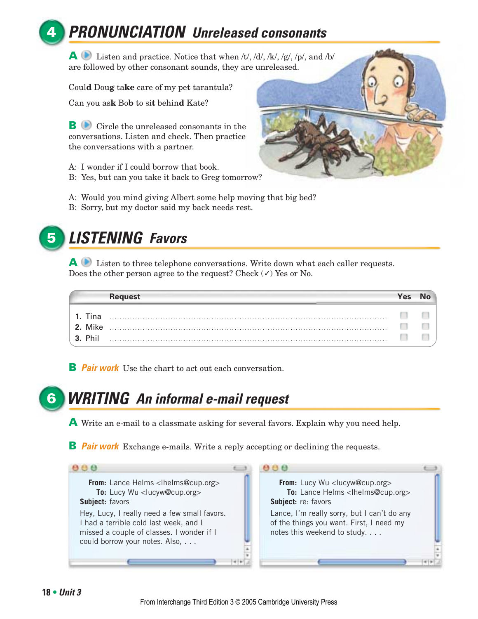## **4** *PRONUNCIATION Unreleased consonants*

**A**  $\bullet$  Listen and practice. Notice that when /t/, /d/, /k/, /g/, /p/, and /b/ are followed by other consonant sounds, they are unreleased.

Coul**d** Dou**g** ta**ke** care of my pe**t** tarantula?

Can you as**k** Bo**b** to si**t** behin**d** Kate?

**B** Circle the unreleased consonants in the conversations. Listen and check. Then practice the conversations with a partner.

- A: I wonder if I could borrow that book.
- B: Yes, but can you take it back to Greg tomorrow?
- A: Would you mind giving Albert some help moving that big bed? B: Sorry, but my doctor said my back needs rest.

## **5** *LISTENING Favors*

**A** Listen to three telephone conversations. Write down what each caller requests. Does the other person agree to the request? Check  $(\checkmark)$  Yes or No.

|                | <b>Request</b> | Yes |  |
|----------------|----------------|-----|--|
| <b>1.</b> Tina | .              |     |  |
| 2. Mike        |                |     |  |
| 3. Phil        | .              |     |  |

**B** *Pair work* Use the chart to act out each conversation.

### **6** *WRITING An informal e-mail request*

**A** Write an e-mail to a classmate asking for several favors. Explain why you need help.

**B** *Pair work* Exchange e-mails. Write a reply accepting or declining the requests.

| From: Lance Helms <lhelms@cup.org><br/>To: Lucy Wu <lucyw@cup.org><br/>Subject: favors</lucyw@cup.org></lhelms@cup.org>                                               | From: Lucy Wu <lucyw@cup.org><br/>To: Lance Helms <lhelms@cup.org><br/>Subject: re: favors</lhelms@cup.org></lucyw@cup.org> |  |
|-----------------------------------------------------------------------------------------------------------------------------------------------------------------------|-----------------------------------------------------------------------------------------------------------------------------|--|
| Hey, Lucy, I really need a few small favors.<br>I had a terrible cold last week, and I<br>missed a couple of classes. I wonder if I<br>could borrow your notes. Also, | Lance, I'm really sorry, but I can't do any<br>of the things you want. First, I need my<br>notes this weekend to study.     |  |
|                                                                                                                                                                       |                                                                                                                             |  |

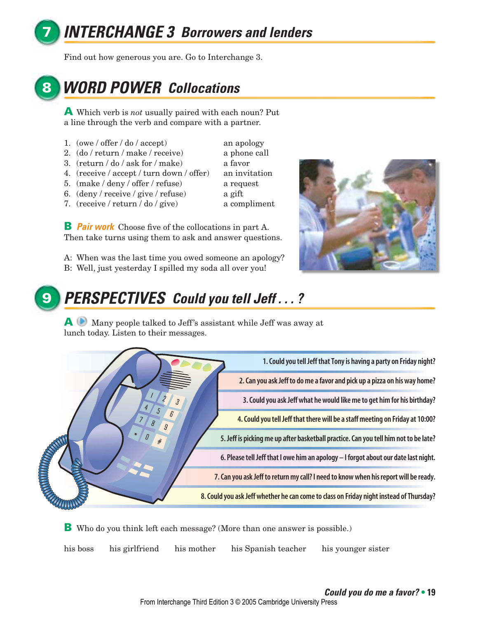## **7** *INTERCHANGE 3 Borrowers and lenders*

Find out how generous you are. Go to Interchange 3.

### **8** *WORD POWER Collocations*

**A** Which verb is *not* usually paired with each noun? Put a line through the verb and compare with a partner.

- 1. (owe / offer / do / accept) an apology
- 2. (do / return / make / receive) a phone call
- 3. (return / do / ask for / make) a favor
- 4. (receive / accept / turn down / offer) an invitation
- 5. (make / deny / offer / refuse) a request
- 6. (deny / receive / give / refuse) a gift
- 7. (receive / return / do / give) a compliment
- 
- **B** *Pair work* Choose five of the collocations in part A.

A: When was the last time you owed someone an apology?

Then take turns using them to ask and answer questions.

B: Well, just yesterday I spilled my soda all over you!



### **9** *PERSPECTIVES Could you tell Jeff . . . ?*

**A**  $\bullet$  Many people talked to Jeff's assistant while Jeff was away at lunch today. Listen to their messages.



**B** Who do you think left each message? (More than one answer is possible.)

his boss his girlfriend his mother his Spanish teacher his younger sister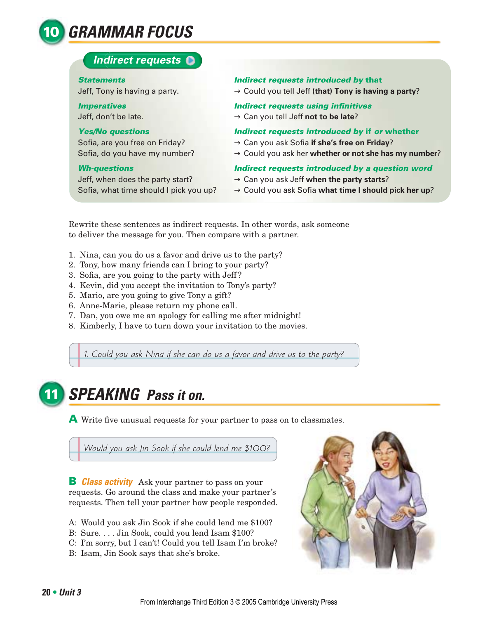## **10** *GRAMMAR FOCUS*

### *Indirect requests*

### *Statements Indirect requests introduced by* **that**

Jeff, Tony is having a party.  $\rightarrow$  Could you tell Jeff (that) Tony is having a party?

### *Imperatives Indirect requests using infinitives*

**Jeff, don't be late.** → Can you tell Jeff not to be late?

### *Yes/No questions Indirect requests introduced by* **if** *or* **whether**

- Sofia, are you free on Friday? → Can you ask Sofia **if she's free on Friday**?
- Sofia, do you have my number? → Could you ask her **whether or not she has my number**?

### *Wh-questions Indirect requests introduced by a question word*

- Jeff, when does the party start? → Can you ask Jeff **when the party starts**?
- Sofia, what time should I pick you up? → Could you ask Sofia what time I should pick her up?

Rewrite these sentences as indirect requests. In other words, ask someone to deliver the message for you. Then compare with a partner.

- 1. Nina, can you do us a favor and drive us to the party?
- 2. Tony, how many friends can I bring to your party?
- 3. Sofia, are you going to the party with Jeff ?
- 4. Kevin, did you accept the invitation to Tony's party?
- 5. Mario, are you going to give Tony a gift?
- 6. Anne-Marie, please return my phone call.
- 7. Dan, you owe me an apology for calling me after midnight!
- 8. Kimberly, I have to turn down your invitation to the movies.

*1. Could you ask Nina if she can do us a favor and drive us to the party?*

## **11** *SPEAKING Pass it on.*

**A** Write five unusual requests for your partner to pass on to classmates.

*Would you ask Jin Sook if she could lend me \$100?*

**B** *Class activity* Ask your partner to pass on your requests. Go around the class and make your partner's requests. Then tell your partner how people responded.

- A: Would you ask Jin Sook if she could lend me \$100?
- B: Sure. . . . Jin Sook, could you lend Isam \$100?
- C: I'm sorry, but I can't! Could you tell Isam I'm broke?
- B: Isam, Jin Sook says that she's broke.

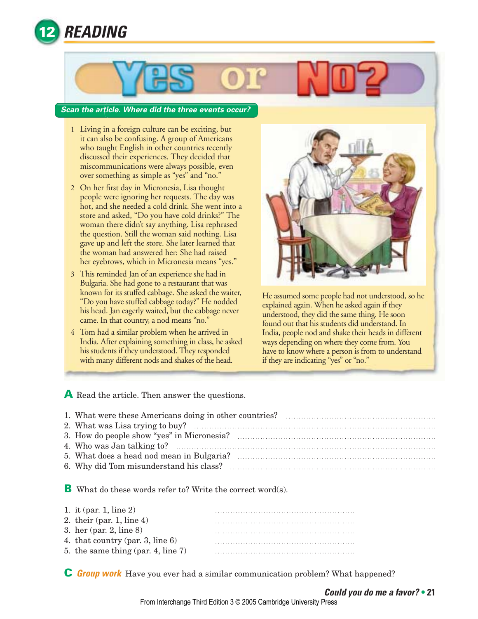

### *Scan the article. Where did the three events occur?*

- 1 Living in a foreign culture can be exciting, but it can also be confusing. A group of Americans who taught English in other countries recently discussed their experiences. They decided that miscommunications were always possible, even over something as simple as "yes" and "no."
- 2 On her first day in Micronesia, Lisa thought people were ignoring her requests. The day was hot, and she needed a cold drink. She went into a store and asked, "Do you have cold drinks?" The woman there didn't say anything. Lisa rephrased the question. Still the woman said nothing. Lisa gave up and left the store. She later learned that the woman had answered her: She had raised her eyebrows, which in Micronesia means "yes."
- 3 This reminded Jan of an experience she had in Bulgaria. She had gone to a restaurant that was known for its stuffed cabbage. She asked the waiter, "Do you have stuffed cabbage today?" He nodded his head. Jan eagerly waited, but the cabbage never came. In that country, a nod means "no."
- 4 Tom had a similar problem when he arrived in India. After explaining something in class, he asked his students if they understood. They responded with many different nods and shakes of the head.



He assumed some people had not understood, so he explained again. When he asked again if they understood, they did the same thing. He soon found out that his students did understand. In India, people nod and shake their heads in different ways depending on where they come from. You have to know where a person is from to understand if they are indicating "yes" or "no."

**A** Read the article. Then answer the questions.

**B** What do these words refer to? Write the correct word(s).

| 1. it (par. 1, line 2)              |  |
|-------------------------------------|--|
| 2. their (par. 1, line 4)           |  |
| 3. her (par. 2, line $8$ )          |  |
| 4. that country (par. 3, line $6$ ) |  |
| 5. the same thing (par. 4, line 7)  |  |

**C** *Group work* Have you ever had a similar communication problem? What happened?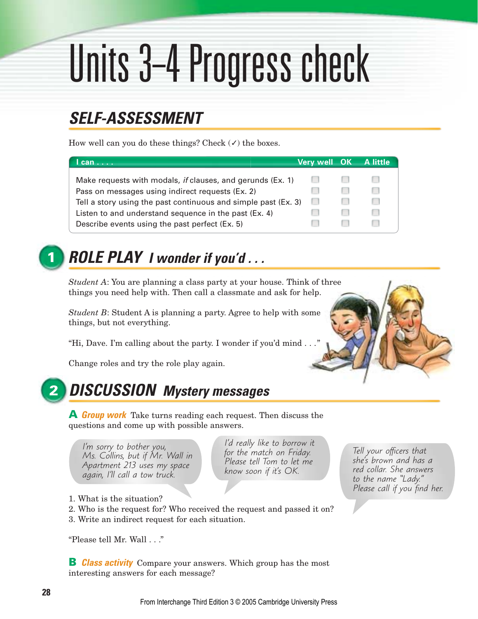# Units 3–4 Progress check

## *SELF-ASSESSMENT*

How well can you do these things? Check  $(\checkmark)$  the boxes.

| l can'                                                            | Very well OK A little |  |
|-------------------------------------------------------------------|-----------------------|--|
| Make requests with modals, <i>if</i> clauses, and gerunds (Ex. 1) | and the state of      |  |
| Pass on messages using indirect requests (Ex. 2)                  |                       |  |
| Tell a story using the past continuous and simple past (Ex. 3)    | $\Box$                |  |
| Listen to and understand sequence in the past (Ex. 4)             |                       |  |
| Describe events using the past perfect (Ex. 5)                    |                       |  |



*Student A*: You are planning a class party at your house. Think of three things you need help with. Then call a classmate and ask for help.

*Student B*: Student A is planning a party. Agree to help with some things, but not everything.

"Hi, Dave. I'm calling about the party. I wonder if you'd mind . . .

Change roles and try the role play again.



**2** *DISCUSSION Mystery messages*

**A** *Group work* Take turns reading each request. Then discuss the questions and come up with possible answers.

*I'm sorry to bother you, Ms. Collins, but if Mr. Wall in Apartment 213 uses my space again, I'll call a tow truck.*

*I'd really like to borrow it for the match on Friday. Please tell Tom to let me know soon if it's OK.*

*Tell your officers that she's brown and has a red collar. She answers to the name "Lady." Please call if you find her.* 

- 1. What is the situation?
- 2. Who is the request for? Who received the request and passed it on?
- 3. Write an indirect request for each situation.

"Please tell Mr. Wall ...

**B** *Class activity* Compare your answers. Which group has the most interesting answers for each message?